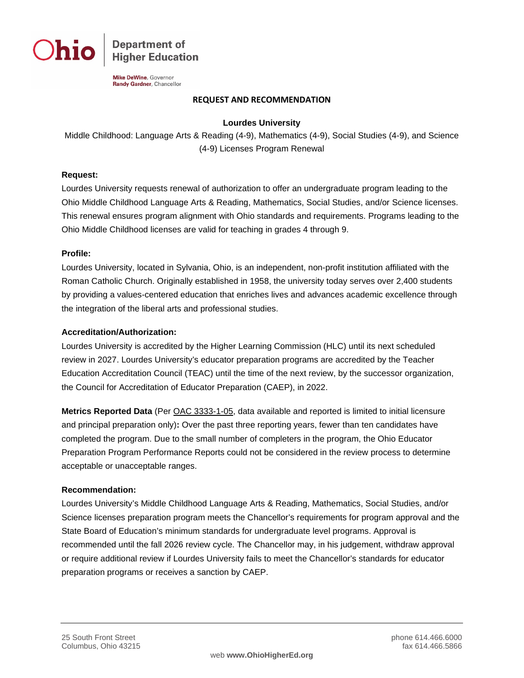

**Department of Higher Education** 

**Mike DeWine**, Governor Randy Gardner, Chancellor

#### **REQUEST AND RECOMMENDATION**

#### **Lourdes University**

Middle Childhood: Language Arts & Reading (4-9), Mathematics (4-9), Social Studies (4-9), and Science (4-9) Licenses Program Renewal

### **Request:**

Lourdes University requests renewal of authorization to offer an undergraduate program leading to the Ohio Middle Childhood Language Arts & Reading, Mathematics, Social Studies, and/or Science licenses. This renewal ensures program alignment with Ohio standards and requirements. Programs leading to the Ohio Middle Childhood licenses are valid for teaching in grades 4 through 9.

#### **Profile:**

Lourdes University, located in Sylvania, Ohio, is an independent, non-profit institution affiliated with the Roman Catholic Church. Originally established in 1958, the university today serves over 2,400 students by providing a values-centered education that enriches lives and advances academic excellence through the integration of the liberal arts and professional studies.

#### **Accreditation/Authorization:**

Lourdes University is accredited by the Higher Learning Commission (HLC) until its next scheduled review in 2027. Lourdes University's educator preparation programs are accredited by the Teacher Education Accreditation Council (TEAC) until the time of the next review, by the successor organization, the Council for Accreditation of Educator Preparation (CAEP), in 2022.

**Metrics Reported Data** (Per [OAC 3333-1-05,](http://codes.ohio.gov/oac/3333-1-05) data available and reported is limited to initial licensure and principal preparation only)**:** Over the past three reporting years, fewer than ten candidates have completed the program. Due to the small number of completers in the program, the Ohio Educator Preparation Program Performance Reports could not be considered in the review process to determine acceptable or unacceptable ranges.

#### **Recommendation:**

Lourdes University's Middle Childhood Language Arts & Reading, Mathematics, Social Studies, and/or Science licenses preparation program meets the Chancellor's requirements for program approval and the State Board of Education's minimum standards for undergraduate level programs. Approval is recommended until the fall 2026 review cycle. The Chancellor may, in his judgement, withdraw approval or require additional review if Lourdes University fails to meet the Chancellor's standards for educator preparation programs or receives a sanction by CAEP.